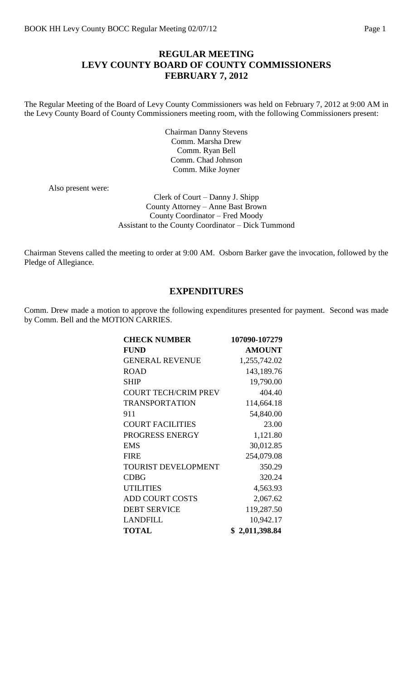# **REGULAR MEETING LEVY COUNTY BOARD OF COUNTY COMMISSIONERS FEBRUARY 7, 2012**

The Regular Meeting of the Board of Levy County Commissioners was held on February 7, 2012 at 9:00 AM in the Levy County Board of County Commissioners meeting room, with the following Commissioners present:

> Chairman Danny Stevens Comm. Marsha Drew Comm. Ryan Bell Comm. Chad Johnson Comm. Mike Joyner

Also present were:

Clerk of Court – Danny J. Shipp County Attorney – Anne Bast Brown County Coordinator – Fred Moody Assistant to the County Coordinator – Dick Tummond

Chairman Stevens called the meeting to order at 9:00 AM. Osborn Barker gave the invocation, followed by the Pledge of Allegiance.

# **EXPENDITURES**

Comm. Drew made a motion to approve the following expenditures presented for payment. Second was made by Comm. Bell and the MOTION CARRIES.

| <b>CHECK NUMBER</b>         | 107090-107279  |
|-----------------------------|----------------|
| <b>FUND</b>                 | <b>AMOUNT</b>  |
| <b>GENERAL REVENUE</b>      | 1,255,742.02   |
| <b>ROAD</b>                 | 143,189.76     |
| <b>SHIP</b>                 | 19,790.00      |
| <b>COURT TECH/CRIM PREV</b> | 404.40         |
| <b>TRANSPORTATION</b>       | 114,664.18     |
| 911                         | 54,840.00      |
| <b>COURT FACILITIES</b>     | 23.00          |
| PROGRESS ENERGY             | 1,121.80       |
| <b>EMS</b>                  | 30,012.85      |
| <b>FIRE</b>                 | 254,079.08     |
| <b>TOURIST DEVELOPMENT</b>  | 350.29         |
| <b>CDBG</b>                 | 320.24         |
| <b>UTILITIES</b>            | 4,563.93       |
| <b>ADD COURT COSTS</b>      | 2,067.62       |
| <b>DEBT SERVICE</b>         | 119,287.50     |
| <b>LANDFILL</b>             | 10,942.17      |
| <b>TOTAL</b>                | \$2,011,398.84 |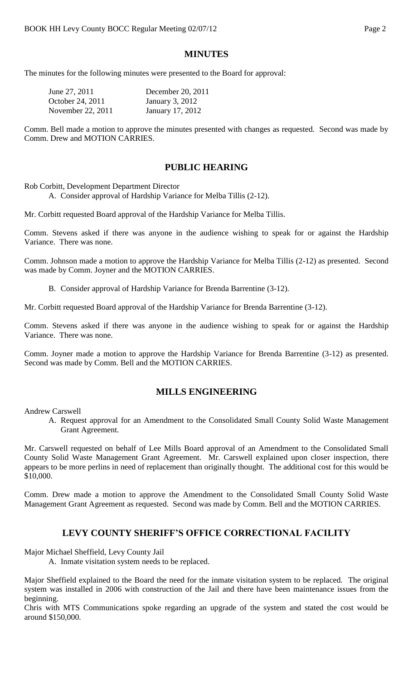#### **MINUTES**

The minutes for the following minutes were presented to the Board for approval:

| June 27, 2011     | December 20, 2011 |
|-------------------|-------------------|
| October 24, 2011  | January 3, 2012   |
| November 22, 2011 | January 17, 2012  |

Comm. Bell made a motion to approve the minutes presented with changes as requested. Second was made by Comm. Drew and MOTION CARRIES.

# **PUBLIC HEARING**

Rob Corbitt, Development Department Director

A. Consider approval of Hardship Variance for Melba Tillis (2-12).

Mr. Corbitt requested Board approval of the Hardship Variance for Melba Tillis.

Comm. Stevens asked if there was anyone in the audience wishing to speak for or against the Hardship Variance. There was none.

Comm. Johnson made a motion to approve the Hardship Variance for Melba Tillis (2-12) as presented. Second was made by Comm. Joyner and the MOTION CARRIES.

B. Consider approval of Hardship Variance for Brenda Barrentine (3-12).

Mr. Corbitt requested Board approval of the Hardship Variance for Brenda Barrentine (3-12).

Comm. Stevens asked if there was anyone in the audience wishing to speak for or against the Hardship Variance. There was none.

Comm. Joyner made a motion to approve the Hardship Variance for Brenda Barrentine (3-12) as presented. Second was made by Comm. Bell and the MOTION CARRIES.

### **MILLS ENGINEERING**

Andrew Carswell

A. Request approval for an Amendment to the Consolidated Small County Solid Waste Management Grant Agreement.

Mr. Carswell requested on behalf of Lee Mills Board approval of an Amendment to the Consolidated Small County Solid Waste Management Grant Agreement. Mr. Carswell explained upon closer inspection, there appears to be more perlins in need of replacement than originally thought. The additional cost for this would be \$10,000.

Comm. Drew made a motion to approve the Amendment to the Consolidated Small County Solid Waste Management Grant Agreement as requested. Second was made by Comm. Bell and the MOTION CARRIES.

### **LEVY COUNTY SHERIFF'S OFFICE CORRECTIONAL FACILITY**

Major Michael Sheffield, Levy County Jail

A. Inmate visitation system needs to be replaced.

Major Sheffield explained to the Board the need for the inmate visitation system to be replaced. The original system was installed in 2006 with construction of the Jail and there have been maintenance issues from the beginning.

Chris with MTS Communications spoke regarding an upgrade of the system and stated the cost would be around \$150,000.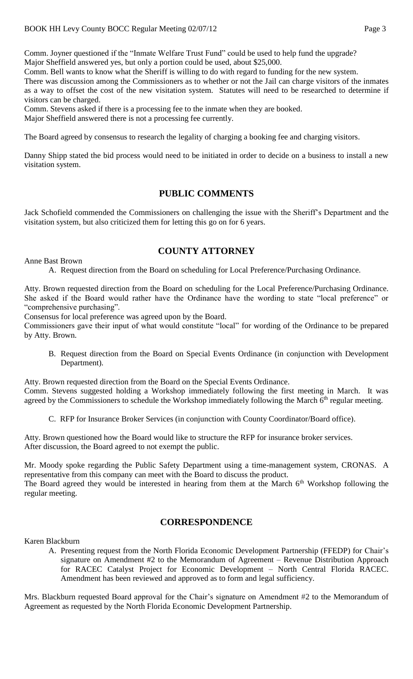Comm. Joyner questioned if the "Inmate Welfare Trust Fund" could be used to help fund the upgrade? Major Sheffield answered yes, but only a portion could be used, about \$25,000.

Comm. Bell wants to know what the Sheriff is willing to do with regard to funding for the new system.

There was discussion among the Commissioners as to whether or not the Jail can charge visitors of the inmates as a way to offset the cost of the new visitation system. Statutes will need to be researched to determine if visitors can be charged.

Comm. Stevens asked if there is a processing fee to the inmate when they are booked.

Major Sheffield answered there is not a processing fee currently.

The Board agreed by consensus to research the legality of charging a booking fee and charging visitors.

Danny Shipp stated the bid process would need to be initiated in order to decide on a business to install a new visitation system.

# **PUBLIC COMMENTS**

Jack Schofield commended the Commissioners on challenging the issue with the Sheriff's Department and the visitation system, but also criticized them for letting this go on for 6 years.

# **COUNTY ATTORNEY**

Anne Bast Brown

A. Request direction from the Board on scheduling for Local Preference/Purchasing Ordinance.

Atty. Brown requested direction from the Board on scheduling for the Local Preference/Purchasing Ordinance. She asked if the Board would rather have the Ordinance have the wording to state "local preference" or "comprehensive purchasing".

Consensus for local preference was agreed upon by the Board.

Commissioners gave their input of what would constitute "local" for wording of the Ordinance to be prepared by Atty. Brown.

B. Request direction from the Board on Special Events Ordinance (in conjunction with Development Department).

Atty. Brown requested direction from the Board on the Special Events Ordinance. Comm. Stevens suggested holding a Workshop immediately following the first meeting in March. It was agreed by the Commissioners to schedule the Workshop immediately following the March 6<sup>th</sup> regular meeting.

C. RFP for Insurance Broker Services (in conjunction with County Coordinator/Board office).

Atty. Brown questioned how the Board would like to structure the RFP for insurance broker services. After discussion, the Board agreed to not exempt the public.

Mr. Moody spoke regarding the Public Safety Department using a time-management system, CRONAS. A representative from this company can meet with the Board to discuss the product. The Board agreed they would be interested in hearing from them at the March  $6<sup>th</sup>$  Workshop following the regular meeting.

# **CORRESPONDENCE**

Karen Blackburn

A. Presenting request from the North Florida Economic Development Partnership (FFEDP) for Chair's signature on Amendment #2 to the Memorandum of Agreement – Revenue Distribution Approach for RACEC Catalyst Project for Economic Development – North Central Florida RACEC. Amendment has been reviewed and approved as to form and legal sufficiency.

Mrs. Blackburn requested Board approval for the Chair's signature on Amendment #2 to the Memorandum of Agreement as requested by the North Florida Economic Development Partnership.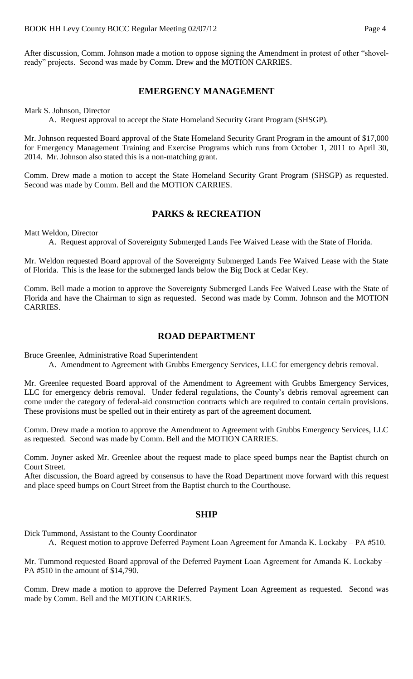After discussion, Comm. Johnson made a motion to oppose signing the Amendment in protest of other "shovelready" projects. Second was made by Comm. Drew and the MOTION CARRIES.

# **EMERGENCY MANAGEMENT**

Mark S. Johnson, Director

A. Request approval to accept the State Homeland Security Grant Program (SHSGP).

Mr. Johnson requested Board approval of the State Homeland Security Grant Program in the amount of \$17,000 for Emergency Management Training and Exercise Programs which runs from October 1, 2011 to April 30, 2014. Mr. Johnson also stated this is a non-matching grant.

Comm. Drew made a motion to accept the State Homeland Security Grant Program (SHSGP) as requested. Second was made by Comm. Bell and the MOTION CARRIES.

# **PARKS & RECREATION**

Matt Weldon, Director

A. Request approval of Sovereignty Submerged Lands Fee Waived Lease with the State of Florida.

Mr. Weldon requested Board approval of the Sovereignty Submerged Lands Fee Waived Lease with the State of Florida. This is the lease for the submerged lands below the Big Dock at Cedar Key.

Comm. Bell made a motion to approve the Sovereignty Submerged Lands Fee Waived Lease with the State of Florida and have the Chairman to sign as requested. Second was made by Comm. Johnson and the MOTION CARRIES.

### **ROAD DEPARTMENT**

Bruce Greenlee, Administrative Road Superintendent

A. Amendment to Agreement with Grubbs Emergency Services, LLC for emergency debris removal.

Mr. Greenlee requested Board approval of the Amendment to Agreement with Grubbs Emergency Services, LLC for emergency debris removal. Under federal regulations, the County's debris removal agreement can come under the category of federal-aid construction contracts which are required to contain certain provisions. These provisions must be spelled out in their entirety as part of the agreement document.

Comm. Drew made a motion to approve the Amendment to Agreement with Grubbs Emergency Services, LLC as requested. Second was made by Comm. Bell and the MOTION CARRIES.

Comm. Joyner asked Mr. Greenlee about the request made to place speed bumps near the Baptist church on Court Street.

After discussion, the Board agreed by consensus to have the Road Department move forward with this request and place speed bumps on Court Street from the Baptist church to the Courthouse.

### **SHIP**

Dick Tummond, Assistant to the County Coordinator

A. Request motion to approve Deferred Payment Loan Agreement for Amanda K. Lockaby – PA #510.

Mr. Tummond requested Board approval of the Deferred Payment Loan Agreement for Amanda K. Lockaby – PA #510 in the amount of \$14,790.

Comm. Drew made a motion to approve the Deferred Payment Loan Agreement as requested. Second was made by Comm. Bell and the MOTION CARRIES.